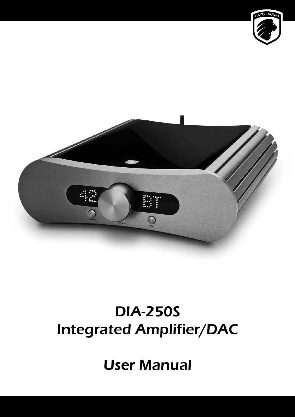



# DIA-250S Integrated Amplifier/DAC

User Manual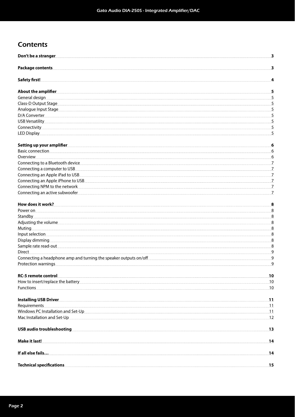### **Contents**

| Don't be a stranger department of the stranger of the stranger of the stranger                                                                                                                                                       | $\overline{\mathbf{3}}$    |
|--------------------------------------------------------------------------------------------------------------------------------------------------------------------------------------------------------------------------------------|----------------------------|
| <b>Package contents</b>                                                                                                                                                                                                              | $\mathbf{3}$               |
| <b>Safety first!</b>                                                                                                                                                                                                                 | 4                          |
| About the amplifier <b>contract to the contract of the contract of the contract of the contract of the contract of the contract of the contract of the contract of the contract of the contract of the contract of the contract </b> | 5.                         |
| General design                                                                                                                                                                                                                       | 5.5                        |
| Class-D Output Stage <b>Exercise Contract Contract Contract Contract Contract Contract Contract Contract Contract Contract Contract Contract Contract Contract Contract Contract Contract Contract Contract Contract Contract Co</b> | 5                          |
|                                                                                                                                                                                                                                      |                            |
|                                                                                                                                                                                                                                      | 5.                         |
| USB Versatility 55 to the contract of the contract of the contract of the contract of the contract of the contract of the contract of the contract of the contract of the contract of the contract of the contract of the cont       |                            |
| <u>Connectivity 55</u>                                                                                                                                                                                                               |                            |
|                                                                                                                                                                                                                                      | 5 <sub>1</sub>             |
|                                                                                                                                                                                                                                      |                            |
| Basic connection <b>Supplier Structure and Structure Connection Basic connection</b>                                                                                                                                                 | 6                          |
| Overview                                                                                                                                                                                                                             | $6 \overline{6}$           |
|                                                                                                                                                                                                                                      |                            |
| Connecting a computer to USB <b>Example 2018</b> Connection and the set of the set of the set of the set of the set of the set of the set of the set of the set of the set of the set of the set of the set of the set of the set o  | .7.                        |
|                                                                                                                                                                                                                                      |                            |
|                                                                                                                                                                                                                                      |                            |
| Connecting NPM to the network                                                                                                                                                                                                        | .Z                         |
| Connecting an active subwoofer experience and a series of the series of the series of the series of the series of the series of the series of the series of the series of the series of the series of the series of the series       | . 7.                       |
|                                                                                                                                                                                                                                      | 8                          |
|                                                                                                                                                                                                                                      |                            |
|                                                                                                                                                                                                                                      |                            |
| Adjusting the volume                                                                                                                                                                                                                 | 3 <sup>8</sup>             |
|                                                                                                                                                                                                                                      | 3.8                        |
| Input selection <b>contracts</b> to the contract of the contract of the contract of the contract of the contract of the contract of the contract of the contract of the contract of the contract of the contract of the contract of  | 3.8                        |
|                                                                                                                                                                                                                                      | 8                          |
| Sample rate read-out <b>with a second contact a second contact a</b> second a second a second second second a second s                                                                                                               |                            |
| Direct                                                                                                                                                                                                                               |                            |
| Onnecting a headphone amp and turning the speaker outputs on/off example and the speaker of the speaker of the speaker of the speaker of the speaker of the speaker of the speaker of the speaker of the speaker of the speake       |                            |
|                                                                                                                                                                                                                                      | $\overline{\phantom{0}}$ 9 |
| <b>RC-5 remote control</b>                                                                                                                                                                                                           |                            |
|                                                                                                                                                                                                                                      |                            |
| <u>Eunctions 10</u>                                                                                                                                                                                                                  |                            |
|                                                                                                                                                                                                                                      |                            |
|                                                                                                                                                                                                                                      |                            |
| Windows PC Installation and Set-Up <u>contained and set also and set and set and set and set and set and set and set and set and set and set and set and set and set and set and set and set and set and set and set and set and</u> |                            |
| Mac Installation and Set-Up 2020 12                                                                                                                                                                                                  |                            |
|                                                                                                                                                                                                                                      |                            |
|                                                                                                                                                                                                                                      |                            |
|                                                                                                                                                                                                                                      |                            |
| Technical specifications 25 to 25 million of the contract of the contract of the contract of the contract of the contract of the contract of the contract of the contract of the contract of the contract of the contract of t       |                            |
|                                                                                                                                                                                                                                      |                            |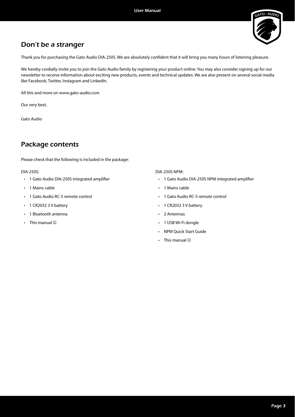

### Don't be a stranger

Thank you for purchasing the Gato Audio DIA-250S. We are absolutely confident that it will bring you many hours of listening pleasure.

We hereby cordially invite you to join the Gato Audio family by registering your product online. You may also consider signing up for our newsletter to receive information about exciting new products, events and technical updates. We are also present on several social media like Facebook, Twitter, Instagram and LinkedIn.

All this and more on www.gato-audio.com

Our very best,

Gato Audio

### Package contents

Please check that the following is included in the package:

DIA-250S:

- 1 Gato Audio DIA-250S integrated amplifier
- 1 Mains cable
- 1 Gato Audio RC-5 remote control
- 1 CR2032 3 V battery
- 1 Bluetooth antenna
- This manual  $\odot$

DIA-250S NPM:

- 1 Gato Audio DIA-250S NPM integrated amplifier
- 1 Mains cable
- 1 Gato Audio RC-5 remote control
- 1 CR2032 3 V battery
- 2 Antennas
- 1 USB Wi-Fi dongle
- NPM Quick Start Guide
- This manual  $\odot$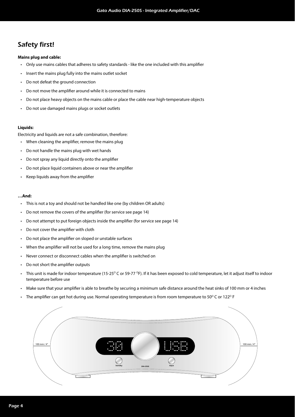### Safety first!

#### **Mains plug and cable:**

- Only use mains cables that adheres to safety standards like the one included with this amplifier
- Insert the mains plug fully into the mains outlet socket
- Do not defeat the ground connection
- Do not move the amplifier around while it is connected to mains
- Do not place heavy objects on the mains cable or place the cable near high-temperature objects
- Do not use damaged mains plugs or socket outlets

#### **Liquids:**

Electricity and liquids are not a safe combination, therefore:

- When cleaning the amplifier, remove the mains plug
- Do not handle the mains plug with wet hands
- Do not spray any liquid directly onto the amplifier
- Do not place liquid containers above or near the amplifier
- $\cdot$  Keep liquids away from the amplifier

#### **…And:**

- This is not a toy and should not be handled like one (by children OR adults)
- Do not remove the covers of the amplifier (for service see page 14)
- Do not attempt to put foreign objects inside the amplifier (for service see page 14)
- $\cdot$  Do not cover the amplifier with cloth
- Do not place the amplifier on sloped or unstable surfaces
- When the amplifier will not be used for a long time, remove the mains plug
- Never connect or disconnect cables when the amplifier is switched on
- Do not short the amplifier outputs
- This unit is made for indoor temperature (15-25 $\degree$ C or 59-77  $\degree$ F). If it has been exposed to cold temperature, let it adjust itself to indoor temperature before use
- Make sure that your amplifier is able to breathe by securing a minimum safe distance around the heat sinks of 100 mm or 4 inches
- The amplifier can get hot during use. Normal operating temperature is from room temperature to 50 $^{\circ}$  C or 122 $^{\circ}$  F

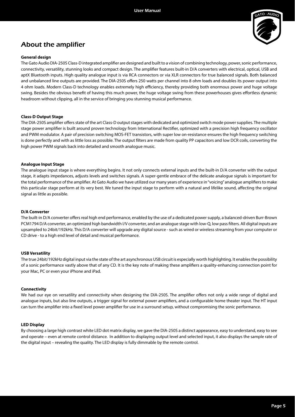

### About the amplifier

#### **General design**

The Gato Audio DIA-250S Class-D integrated amplifier are designed and built to a vision of combining technology, power, sonic performance, connectivity, versatility, stunning looks and compact design. The amplifier features built-in D/A converters with electrical, optical, USB and aptX Bluetooth inputs. High quality analogue input is via RCA connectors or via XLR connectors for true balanced signals. Both balanced and unbalanced line outputs are provided. The DIA-250S offers 250 watts per channel into 8 ohm loads and doubles its power output into 4 ohm loads. Modern Class-D technology enables extremely high efficiency, thereby providing both enormous power and huge voltage swing. Besides the obvious benefit of having this much power, the huge voltage swing from these powerhouses gives effortless dynamic headroom without clipping, all in the service of bringing you stunning musical performance.

#### **Class-D Output Stage**

The DIA-250S amplifier offers state of the art Class-D output stages with dedicated and optimized switch mode power supplies. The multiple stage power amplifier is built around proven technology from International Rectifier, optimized with a precision high frequency oscillator and PWM modulator. A pair of precision switching MOS-FET transistors, with super low on-resistance ensures the high frequency switching is done perfectly and with as little loss as possible. The output filters are made from quality PP capacitors and low DCR coils, converting the high power PWM signals back into detailed and smooth analogue music.

#### **Analogue Input Stage**

The analogue input stage is where everything begins. It not only connects external inputs and the built-in D/A converter with the output stage, it adapts impedances, adjusts levels and switches signals. A super-gentle embrace of the delicate analogue signals is important for the total performance of the amplifier. At Gato Audio we have utilized our many years of experience in "voicing" analogue amplifiers to make this particular stage perform at its very best. We tuned the input stage to perform with a natural and lifelike sound, affecting the original signal as little as possible.

#### **D/A Converter**

The built-in D/A converter offers real high end performance, enabled by the use of a dedicated power supply, a balanced-driven Burr-Brown PCM1794 D/A converter, an optimized high bandwidth I/V converter, and an analogue stage with low-Q, low pass filters. All digital inputs are upsampled to 24bit/192kHz. This D/A converter will upgrade any digital source - such as wired or wireless streaming from your computer or CD drive - to a high end level of detail and musical performance.

#### **USB Versatility**

The true 24bit/192kHz digital input via the state of the art asynchronous USB circuit is especially worth highlighting. It enables the possibility of a sonic performance vastly above that of any CD. It is the key note of making these amplifiers a quality-enhancing connection point for your Mac, PC or even your iPhone and iPad.

#### **Connectivity**

We had our eye on versatility and connectivity when designing the DIA-250S. The amplifier offers not only a wide range of digital and analogue inputs, but also line outputs, a trigger signal for external power amplifiers, and a configurable home theater input. The HT input can turn the amplifier into a fixed level power amplifier for use in a surround setup, without compromising the sonic performance.

#### **LED Display**

By choosing a large high contrast white LED dot matrix display, we gave the DIA-250S a distinct appearance, easy to understand, easy to see and operate – even at remote control distance. In addition to displaying output level and selected input, it also displays the sample rate of the digital input – revealing the quality. The LED display is fully dimmable by the remote control.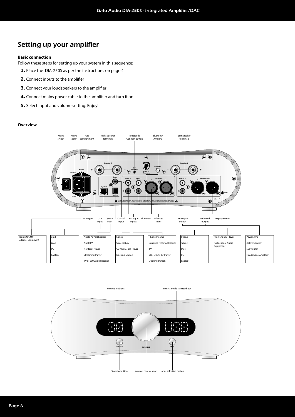### Setting up your amplifier

#### **Basic connection**

Follow these steps for setting up your system in this sequence:

- **1.** Place the DIA-250S as per the instructions on page 4
- **2.** Connect inputs to the amplifier
- **3.** Connect your loudspeakers to the amplifier
- 4. Connect mains power cable to the amplifier and turn it on
- **5.** Select input and volume setting. Enjoy!

#### **Overview**



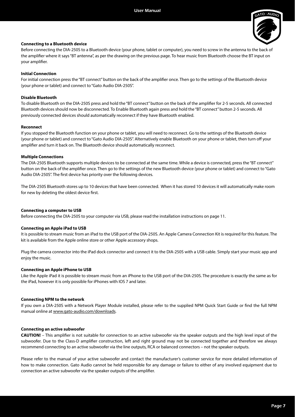

#### **Connecting to a Bluetooth device**

Before connecting the DIA-250S to a Bluetooth device (your phone, tablet or computer), you need to screw in the antenna to the back of the amplifier where it says "BT antenna", as per the drawing on the previous page. To hear music from Bluetooth choose the BT input on your amplifier.

#### **Initial Connection**

For initial connection press the "BT connect" button on the back of the amplifier once. Then go to the settings of the Bluetooth device (your phone or tablet) and connect to "Gato Audio DIA-250S".

#### **Disable Bluetooth**

To disable Bluetooth on the DIA-250S press and hold the "BT connect" button on the back of the amplifier for 2-5 seconds. All connected Bluetooth devices should now be disconnected. To Enable Bluetooth again press and hold the "BT connect" button 2-5 seconds. All previously connected devices should automatically reconnect if they have Bluetooth enabled.

#### **Reconnect**

If you stopped the Bluetooth function on your phone or tablet, you will need to reconnect. Go to the settings of the Bluetooth device (your phone or tablet) and connect to "Gato Audio DIA-250S". Alternatively enable Bluetooth on your phone or tablet, then turn off your amplifier and turn it back on. The Bluetooth device should automatically reconnect.

#### **Multiple Connections**

The DIA-250S Bluetooth supports multiple devices to be connected at the same time. While a device is connected, press the "BT connect" button on the back of the amplifier once. Then go to the settings of the new Bluetooth device (your phone or tablet) and connect to "Gato Audio DIA-250S". The first device has priority over the following devices.

The DIA-250S Bluetooth stores up to 10 devices that have been connected. When it has stored 10 devices it will automatically make room for new by deleting the oldest device first.

#### **Connecting a computer to USB**

Before connecting the DIA-250S to your computer via USB, please read the installation instructions on page 11.

#### **Connecting an Apple iPad to USB**

It is possible to stream music from an iPad to the USB port of the DIA-250S. An Apple Camera Connection Kit is required for this feature. The kit is available from the Apple online store or other Apple accessory shops.

Plug the camera connector into the iPad dock connector and connect it to the DIA-250S with a USB cable. Simply start your music app and enjoy the music.

#### **Connecting an Apple iPhone to USB**

Like the Apple iPad it is possible to stream music from an iPhone to the USB port of the DIA-250S. The procedure is exactly the same as for the iPad, however it is only possible for iPhones with IOS 7 and later.

#### **Connecting NPM to the network**

If you own a DIA-250S with a Network Player Module installed, please refer to the supplied NPM Quick Start Guide or find the full NPM manual online at www.gato-audio.com/downloads.

#### **Connecting an active subwoofer**

**CAUTION!** – This amplifier is not suitable for connection to an active subwoofer via the speaker outputs and the high level input of the subwoofer. Due to the Class-D amplifier construction, left and right ground may not be connected together and therefore we always recommend connecting to an active subwoofer via the line outputs, RCA or balanced connectors – not the speaker outputs.

Please refer to the manual of your active subwoofer and contact the manufacturer's customer service for more detailed information of how to make connection. Gato Audio cannot be held responsible for any damage or failure to either of any involved equipment due to connection an active subwoofer via the speaker outputs of the amplifier.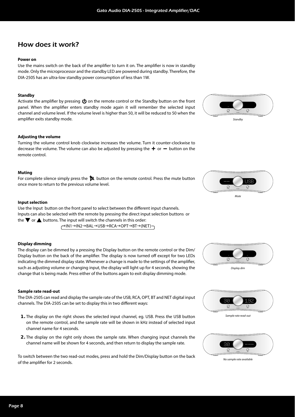### How does it work?

#### **Power on**

Use the mains switch on the back of the amplifier to turn it on. The amplifier is now in standby mode. Only the microprocessor and the standby LED are powered during standby. Therefore, the DIA-250S has an ultra-low standby power consumption of less than 1W.

#### **Standby**

Activate the amplifier by pressing  $\bigcirc$  on the remote control or the Standby button on the front panel. When the amplifier enters standby mode again it will remember the selected input channel and volume level. If the volume level is higher than 50, it will be reduced to 50 when the amplifier exits standby mode.

#### **Adjusting the volume**

Turning the volume control knob clockwise increases the volume. Turn it counter-clockwise to decrease the volume. The volume can also be adjusted by pressing the  $\boldsymbol{+}$  or  $\boldsymbol{-}$  button on the remote control.

#### **Muting**

For complete silence simply press the  $\uparrow$  button on the remote control. Press the mute button once more to return to the previous volume level.

#### **Input selection**

Use the Input button on the front panel to select between the different input channels. Inputs can also be selected with the remote by pressing the direct input selection buttons or the  $\nabla$  or  $\triangle$  buttons. The input will switch the channels in this order:

→IN1→IN2→BAL→USB→RCA→OPT→BT→(NET)

#### **Display dimming**

The display can be dimmed by a pressing the Display button on the remote control or the Dim/ Display button on the back of the amplifier. The display is now turned off except for two LEDs indicating the dimmed display state. Whenever a change is made to the settings of the amplifier, such as adjusting volume or changing input, the display will light up for 4 seconds, showing the change that is being made. Press either of the buttons again to exit display dimming mode.

#### **Sample rate read-out**

The DIA-250S can read and display the sample rate of the USB, RCA, OPT, BT and NET digital input channels. The DIA-250S can be set to display this in two different ways:

- **1.** The display on the right shows the selected input channel, eg. USB. Press the USB button on the remote control, and the sample rate will be shown in kHz instead of selected input channel name for 4 seconds.
- **2.** The display on the right only shows the sample rate. When changing input channels the channel name will be shown for 4 seconds, and then return to display the sample rate.

To switch between the two read-out modes, press and hold the Dim/Display button on the back of the amplifier for 2 seconds.









Sample rate read-out



No sample rate available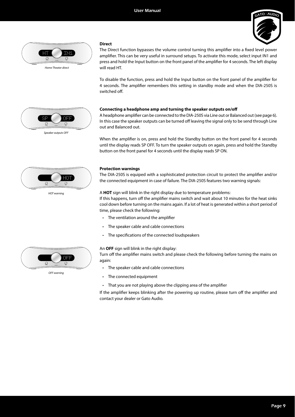

#### **Direct**



Home Theater direct

The Direct function bypasses the volume control turning this amplifier into a fixed level power amplifier. This can be very useful in surround setups. To activate this mode, select input IN1 and press and hold the Input button on the front panel of the amplifier for 4 seconds. The left display will read HT.

To disable the function, press and hold the Input button on the front panel of the amplifier for 4 seconds. The amplifier remembers this setting in standby mode and when the DIA-250S is switched off.

#### **Connecting a headphone amp and turning the speaker outputs on/off**

A headphone amplifier can be connected to the DIA-250S via Line out or Balanced out (see page 6). In this case the speaker outputs can be turned off leaving the signal only to be send through Line out and Balanced out.

When the amplifier is on, press and hold the Standby button on the front panel for 4 seconds until the display reads SP OFF. To turn the speaker outputs on again, press and hold the Standby button on the front panel for 4 seconds until the display reads SP ON.

#### **Protection warnings**

The DIA-250S is equiped with a sophisticated protection circuit to protect the amplifier and/or the connected equipment in case of failure. The DIA-250S features two warning signals:

#### A **HOT** sign will blink in the right display due to temperature problems:

If this happens, turn off the amplifier mains switch and wait about 10 minutes for the heat sinks cool down before turning on the mains again. If a lot of heat is generated within a short period of time, please check the following:

- $\cdot$  The ventilation around the amplifier
- The speaker cable and cable connections
- The specifications of the connected loudspeakers

#### An **OFF** sign will blink in the right display:

Turn off the amplifier mains switch and please check the following before turning the mains on again:

- The speaker cable and cable connections
- The connected equipment
- That you are not playing above the clipping area of the amplifier

If the amplifier keeps blinking after the powering up routine, please turn off the amplifier and contact your dealer or Gato Audio.





HOT warning



OFF warning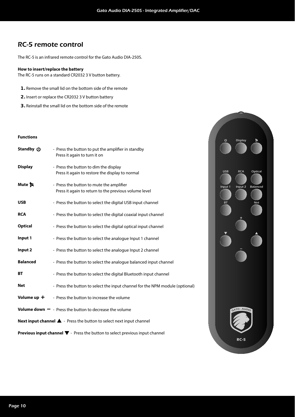### RC-5 remote control

The RC-5 is an infrared remote control for the Gato Audio DIA-250S.

#### **How to insert/replace the battery**

The RC-5 runs on a standard CR2032 3 V button battery.

- **1.** Remove the small lid on the bottom side of the remote
- **2.** Insert or replace the CR2032 3 V button battery
- **3.** Reinstall the small lid on the bottom side of the remote

#### **Functions**

| Standby (J)     | - Press the button to put the amplifier in standby<br>Press it again to turn it on                    |
|-----------------|-------------------------------------------------------------------------------------------------------|
| <b>Display</b>  | - Press the button to dim the display<br>Press it again to restore the display to normal              |
| Mute <b>凤</b>   | - Press the button to mute the amplifier<br>Press it again to return to the previous volume level     |
| <b>USB</b>      | - Press the button to select the digital USB input channel                                            |
| <b>RCA</b>      | - Press the button to select the digital coaxial input channel                                        |
| <b>Optical</b>  | - Press the button to select the digital optical input channel                                        |
| Input 1         | - Press the button to select the analogue Input 1 channel                                             |
| Input 2         | - Press the button to select the analogue Input 2 channel                                             |
| <b>Balanced</b> | - Press the button to select the analogue balanced input channel                                      |
| <b>BT</b>       | - Press the button to select the digital Bluetooth input channel                                      |
| Net             | - Press the button to select the input channel for the NPM module (optional)                          |
| Volume up +     | - Press the button to increase the volume                                                             |
|                 | <b>Volume down <math>-</math></b> - Press the button to decrease the volume                           |
|                 | Next input channel $\blacktriangle$ - Press the button to select next input channel                   |
|                 | <b>Previous input channel <math>\nabla</math></b> - Press the button to select previous input channel |

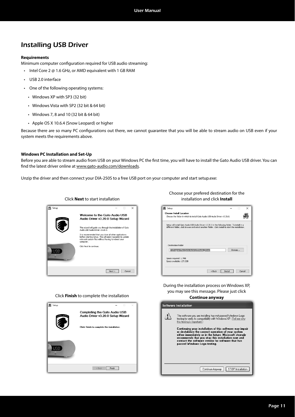### Installing USB Driver

#### **Requirements**

Minimum computer configuration required for USB audio streaming:

- Intel Core 2 @ 1.6 GHz, or AMD equivalent with 1 GB RAM
- USB 2.0 interface
- One of the following operating systems:
	- Windows XP with SP3 (32 bit)
	- Windows Vista with SP2 (32 bit & 64 bit)
	- Windows 7, 8 and 10 (32 bit & 64 bit)
	- Apple OS X 10.6.4 (Snow Leopard) or higher

Because there are so many PC configurations out there, we cannot guarantee that you will be able to stream audio on USB even if your system meets the requirements above.

#### **Windows PC Installation and Set-Up**

Before you are able to stream audio from USB on your Windows PC the first time, you will have to install the Gato Audio USB driver. You can find the latest driver online at www.gato-audio.com/downloads.

Unzip the driver and then connect your DIA-250S to a free USB port on your computer and start setup.exe:

|            | CIR K <b>IVEXL</b> RO STALL IITSTANATION I                                                                                                                                                 |
|------------|--------------------------------------------------------------------------------------------------------------------------------------------------------------------------------------------|
| ▣<br>Setup | $\times$                                                                                                                                                                                   |
| $-AUDL$    | Welcome to the Gato Audio USB<br>Audio Driver v3.20.0 Setup Wizard                                                                                                                         |
|            | This wizard will quide you through the installation of Gato<br>Audio USB Audio Driver v3.20.0.                                                                                             |
|            | It is recommended that you close all other applications<br>before starting Setup. This will make it possible to update<br>relevant system files without having to reboot your<br>computer. |
|            | Click Next to continue.                                                                                                                                                                    |
|            | Cancel<br>Next                                                                                                                                                                             |

Click **Next** to start installation

Choose your prefered destination for the Click **Next** to start installation **installation** and click **Install** 

| 剾<br>Setup                                                                                                                                                                                            |        | $\times$ |
|-------------------------------------------------------------------------------------------------------------------------------------------------------------------------------------------------------|--------|----------|
| Choose Install Location<br>Choose the folder in which to install Gato Audio USB Audio Driver v3.20.0.                                                                                                 |        |          |
| Setup will install Gato Audio USB Audio Driver v3.20.0 in the following folder. To install in a<br>different folder, click Browse and select another folder, Click Install to start the installation. |        |          |
| <b>Destination Folder</b><br>C: \Program Files\Gato Audio\USBAudio Driver                                                                                                                             | Browse |          |
| Space required: 1.7MB<br>Space available: 127.2GB                                                                                                                                                     |        |          |
| $<$ Back<br>Install                                                                                                                                                                                   | Cancel |          |

During the installation process on Windows XP, you may see this message. Please just click



**Continue anyway Software Installation**  $\sqrt{2}$ The software you are installing has not passed Windows Logo<br>testing to verify its compatibility with Windows XP. <u>(Tell me why</u> this testing is important.) Continuing your installation of this software may impair<br>or destabilize the correct operation of your system<br>either immediately or in the future. Microsoft strongly<br>recommends that you stop this installation now and<br>contac Continue Anyway STOP Installation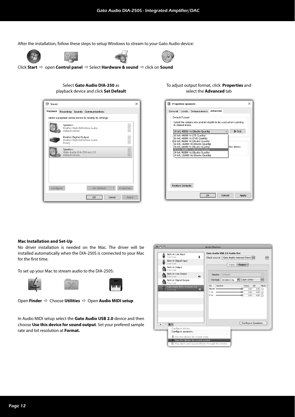After the installation, follow these steps to setup Windows to stream to your Gato Audio device:









Click Start  $\Rightarrow$  open Control panel  $\Rightarrow$  Select Hardware & sound  $\Rightarrow$  click on Sound

#### Select **Gato Audio DIA-250** as playback device and click **Set Default**



#### To adjust output format, click **Properties** and select the **Advanced** tab

| <b>Properties Speakers</b>                                                                                                                                       | × |
|------------------------------------------------------------------------------------------------------------------------------------------------------------------|---|
| Advanced<br>General<br>Levels<br><b>Enhancements</b>                                                                                                             |   |
| Default Format<br>Select the sample rate and bit depth to be used when running<br>in shared mode.                                                                |   |
| $\blacktriangleright$ Test<br>24 bit, 48000 Hz (Studio Quality)                                                                                                  |   |
| 16 bit, 44100 Hz (CD Quality)<br>16 bit, 48000 Hz (DVD Quality)<br>E16 bit, 96000 Hz (Studio Quality)                                                            |   |
| 16 bit, 192000 Hz (Studio Quality)<br>24 bit, 44100 Hz (Studio Quality)<br>this device<br>24 bit, 48000 Hz (Studio Quality)<br>24 bit, 96000 Hz (Studio Quality) |   |
| 24 bit. 192000 Hz (Studio Ouality)                                                                                                                               |   |
|                                                                                                                                                                  |   |
|                                                                                                                                                                  |   |
| <b>Restore Defaults</b>                                                                                                                                          |   |
| OK<br>Cancel<br>Apply                                                                                                                                            |   |

#### **Mac Installation and Set-Up**

No driver installation is needed on the Mac. The driver will be installed automatically when the DIA-250S is connected to your Mac for the first time.



To set up your Mac to stream audio to the DIA-250S:



**Open Finder**  $\Rightarrow$  Choose Utilities  $\Rightarrow$  Open Audio MIDI setup

In Audio MIDI setup select the **Gato Audio USB 2.0** device and then choose **Use this device for sound output**. Set your prefered sample rate and bit resolution at **Format.**

|   | <b>Built-in Line Input</b><br>$2 \text{ in} / 0 \text{ out}$        | Ļ                    |      |         | Gato Audio USB 2.0 Audio Out<br>Clock source: Gato Audio Internal Clock : |            |                    |              |                        |
|---|---------------------------------------------------------------------|----------------------|------|---------|---------------------------------------------------------------------------|------------|--------------------|--------------|------------------------|
|   | <b>Built-in Digital Input</b><br>$2$ in/ $0$ out                    |                      |      |         | Input                                                                     | Output     |                    |              |                        |
|   | <b>Built-in Output</b><br>$0$ in $/2$ out                           |                      |      |         |                                                                           |            |                    |              |                        |
|   | <b>Built-in Line Output</b><br>$0$ in/ $2$ out                      | $\blacktriangleleft$ |      | Source: | Default                                                                   |            |                    |              | $\frac{1}{\pi}$        |
|   | <b>Built-in Digital Output</b><br>$0 \text{ in} / 2 \text{ out}$    |                      |      |         | Format: 44100,0 Hz                                                        | <b>COL</b> | 2ch-24bit          |              | $\left  \cdot \right $ |
|   | Gato Audio USB 2.0 Audio Out                                        |                      | Ch   | Volume  |                                                                           |            | Value              | dB           | Mute                   |
|   | $0 \ln 2$ out                                                       | 图                    |      |         | Master <b>experience</b>                                                  | ଈ          | 1.00               | 0,00         | ⊟                      |
|   |                                                                     |                      | 2: A |         | $1: A \frown$                                                             | ≏          | 1,00<br>1,00       | 0,00<br>0,00 | ⊟<br>╒╕                |
|   |                                                                     |                      |      |         |                                                                           |            |                    |              |                        |
|   |                                                                     |                      |      |         |                                                                           |            |                    |              |                        |
| ÷ | 春 -                                                                 |                      |      |         |                                                                           |            | Configure Speakers |              |                        |
|   | Configure device<br>Configure speakers                              |                      |      |         |                                                                           |            |                    |              |                        |
|   |                                                                     |                      |      |         |                                                                           |            |                    |              |                        |
|   | Use this device for sound input<br>Use this device for sound output |                      |      |         |                                                                           |            |                    |              |                        |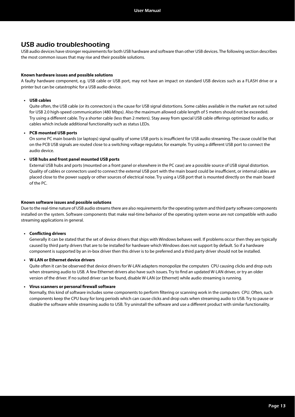### USB audio troubleshooting

USB audio devices have stronger requirements for both USB hardware and software than other USB devices. The following section describes the most common issues that may rise and their possible solutions.

#### **Known hardware issues and possible solutions**

A faulty hardware component, e.g. USB cable or USB port, may not have an impact on standard USB devices such as a FLASH drive or a printer but can be catastrophic for a USB audio device.

#### **• USB cables**

Quite often, the USB cable (or its connectors) is the cause for USB signal distortions. Some cables available in the market are not suited for USB 2.0 high-speed communication (480 Mbps). Also the maximum allowed cable length of 5 meters should not be exceeded. Try using a different cable. Try a shorter cable (less than 2 meters). Stay away from special USB cable offerings optimized for audio, or cables which include additional functionality such as status LEDs.

#### **• PCB mounted USB ports**

On some PC main boards (or laptops) signal quality of some USB ports is insufficient for USB audio streaming. The cause could be that on the PCB USB signals are routed close to a switching voltage regulator, for example. Try using a different USB port to connect the audio device.

#### **• USB hubs and front panel mounted USB ports**

External USB hubs and ports (mounted on a front panel or elsewhere in the PC case) are a possible source of USB signal distortion. Quality of cables or connectors used to connect the external USB port with the main board could be insufficient, or internal cables are placed close to the power supply or other sources of electrical noise. Try using a USB port that is mounted directly on the main board of the PC.

#### **Known software issues and possible solutions**

Due to the real-time nature of USB audio streams there are also requirements for the operating system and third party software components installed on the system. Software components that make real-time behavior of the operating system worse are not compatible with audio streaming applications in general.

#### **•** Conflicting drivers

Generally it can be stated that the set of device drivers that ships with Windows behaves well. If problems occur then they are typically caused by third party drivers that are to be installed for hardware which Windows does not support by default. So if a hardware component is supported by an in-box driver then this driver is to be preferred and a third party driver should not be installed.

#### **• W-LAN or Ethernet device drivers**

Quite often it can be observed that device drivers for W-LAN adapters monopolize the computers CPU causing clicks and drop outs when streaming audio to USB. A few Ethernet drivers also have such issues. Try to find an updated W-LAN driver, or try an older version of the driver. If no suited driver can be found, disable W-LAN (or Ethernet) while audio streaming is running.

#### **• Virus scanners or personal fi rewall software**

Normally, this kind of software includes some components to perform filtering or scanning work in the computers CPU. Often, such components keep the CPU busy for long periods which can cause clicks and drop outs when streaming audio to USB. Try to pause or disable the software while streaming audio to USB. Try uninstall the software and use a different product with similar functionality.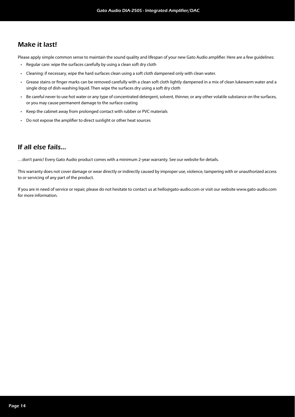### Make it last!

Please apply simple common sense to maintain the sound quality and lifespan of your new Gato Audio amplifier. Here are a few quidelines:

- Regular care: wipe the surfaces carefully by using a clean soft dry cloth
- Cleaning: if necessary, wipe the hard surfaces clean using a soft cloth dampened only with clean water.
- Grease stains or finger marks can be removed carefully with a clean soft cloth lightly dampened in a mix of clean lukewarm water and a single drop of dish-washing liquid. Then wipe the surfaces dry using a soft dry cloth
- Be careful never to use hot water or any type of concentrated detergent, solvent, thinner, or any other volatile substance on the surfaces, or you may cause permanent damage to the surface coating
- Keep the cabinet away from prolonged contact with rubber or PVC materials
- Do not expose the amplifier to direct sunlight or other heat sources

### If all else fails…

…don't panic! Every Gato Audio product comes with a minimum 2-year warranty. See our website for details.

This warranty does not cover damage or wear directly or indirectly caused by improper use, violence, tampering with or unauthorized access to or servicing of any part of the product.

If you are in need of service or repair, please do not hesitate to contact us at hello@gato-audio.com or visit our website www.gato-audio.com for more information.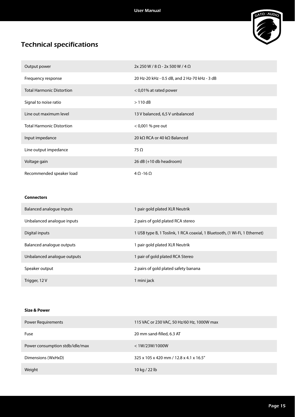

## Technical specifications

| Output power                     | $2x 250 W / 8 \Omega - 2x 500 W / 4 \Omega$   |
|----------------------------------|-----------------------------------------------|
| Frequency response               | 20 Hz-20 kHz - 0.5 dB, and 2 Hz-70 kHz - 3 dB |
| <b>Total Harmonic Distortion</b> | < 0,01% at rated power                        |
| Signal to noise ratio            | $>110$ dB                                     |
| Line out maximum level           | 13 V balanced, 6,5 V unbalanced               |
| <b>Total Harmonic Distortion</b> | $<$ 0,001 % pre out                           |
| Input impedance                  | 20 kQ RCA or 40 kQ Balanced                   |
| Line output impedance            | $75 \Omega$                                   |
| Voltage gain                     | 26 dB (+10 db headroom)                       |
| Recommended speaker load         | $4 \Omega - 16 \Omega$                        |

#### **Connectors**

| Balanced analogue inputs    | 1 pair gold plated XLR Neutrik                                             |
|-----------------------------|----------------------------------------------------------------------------|
| Unbalanced analoque inputs  | 2 pairs of gold plated RCA stereo                                          |
| Digital inputs              | 1 USB type B, 1 Toslink, 1 RCA coaxial, 1 Bluetooth, (1 Wi-Fi, 1 Ethernet) |
| Balanced analogue outputs   | 1 pair gold plated XLR Neutrik                                             |
| Unbalanced analogue outputs | 1 pair of gold plated RCA Stereo                                           |
| Speaker output              | 2 pairs of gold plated safety banana                                       |
| Trigger, 12 V               | 1 mini jack                                                                |

#### **Size & Power**

| <b>Power Requirements</b>       | 115 VAC or 230 VAC, 50 Hz/60 Hz, 1000W max |
|---------------------------------|--------------------------------------------|
| Fuse                            | 20 mm sand-filled, 6.3 AT                  |
| Power consumption stdb/idle/max | < 1W/23W/1000W                             |
| Dimensions (WxHxD)              | 325 x 105 x 420 mm / 12.8 x 4.1 x 16.5"    |
| Weight                          | 10 kg / 22 lb                              |